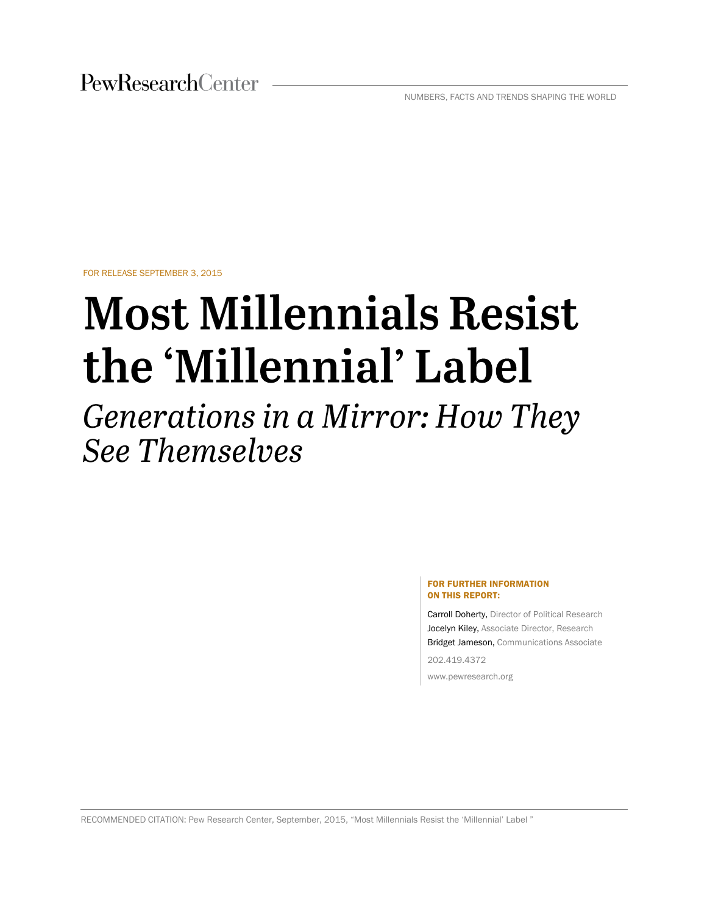PewResearchCenter

NUMBERS, FACTS AND TRENDS SHAPING THE WORLD

FOR RELEASE SEPTEMBER 3, 2015

# **Most Millennials Resist** the 'Millennial' Label

Generations in a Mirror: How They **See Themselves** 

#### FOR FURTHER INFORMATION ON THIS REPORT:

Carroll Doherty, Director of Political Research Jocelyn Kiley, Associate Director, Research Bridget Jameson, Communications Associate

202.419.4372

www.pewresearch.org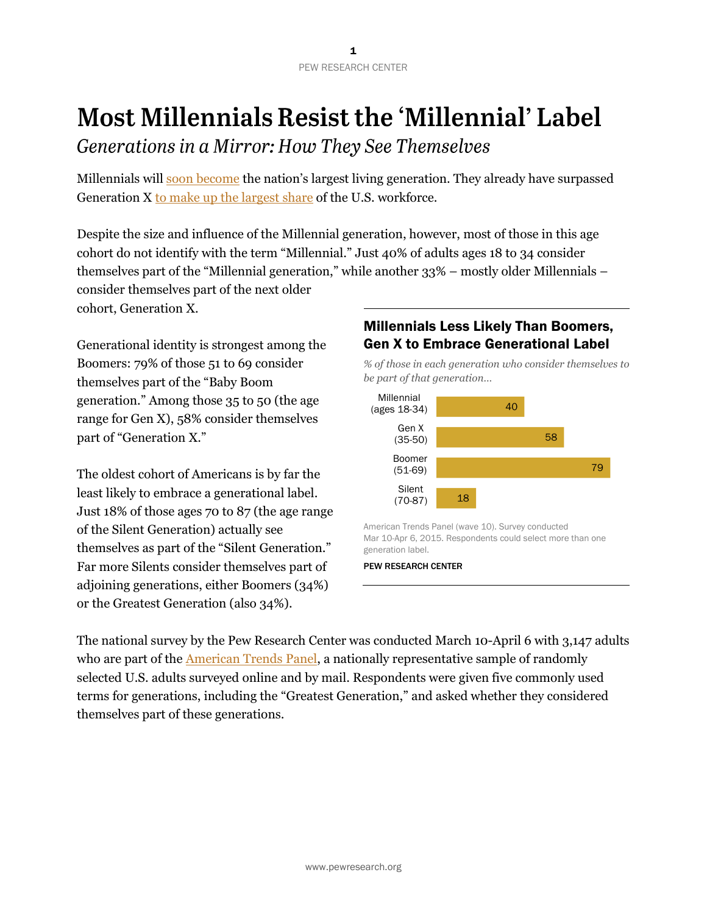## **Most Millennials Resist the 'Millennial' Label**

Generations in a Mirror: How They See Themselves

Millennials will [soon become](http://www.pewresearch.org/fact-tank/2015/01/16/this-year-millennials-will-overtake-baby-boomers/) the nation's largest living generation. They already have surpassed Generation X [to make up the largest share](http://www.pewresearch.org/fact-tank/2015/05/11/millennials-surpass-gen-xers-as-the-largest-generation-in-u-s-labor-force/) of the U.S. workforce.

Despite the size and influence of the Millennial generation, however, most of those in this age cohort do not identify with the term "Millennial." Just 40% of adults ages 18 to 34 consider themselves part of the "Millennial generation," while another 33% – mostly older Millennials – consider themselves part of the next older cohort, Generation X.

Generational identity is strongest among the Boomers: 79% of those 51 to 69 consider themselves part of the "Baby Boom generation." Among those 35 to 50 (the age range for Gen X), 58% consider themselves part of "Generation X."

The oldest cohort of Americans is by far the least likely to embrace a generational label. Just 18% of those ages 70 to 87 (the age range of the Silent Generation) actually see themselves as part of the "Silent Generation." Far more Silents consider themselves part of adjoining generations, either Boomers (34%) or the Greatest Generation (also 34%).

## Millennials Less Likely Than Boomers, Gen X to Embrace Generational Label



The national survey by the Pew Research Center was conducted March 10-April 6 with 3,147 adults who are part of the **American Trends Panel**, a nationally representative sample of randomly selected U.S. adults surveyed online and by mail. Respondents were given five commonly used terms for generations, including the "Greatest Generation," and asked whether they considered themselves part of these generations.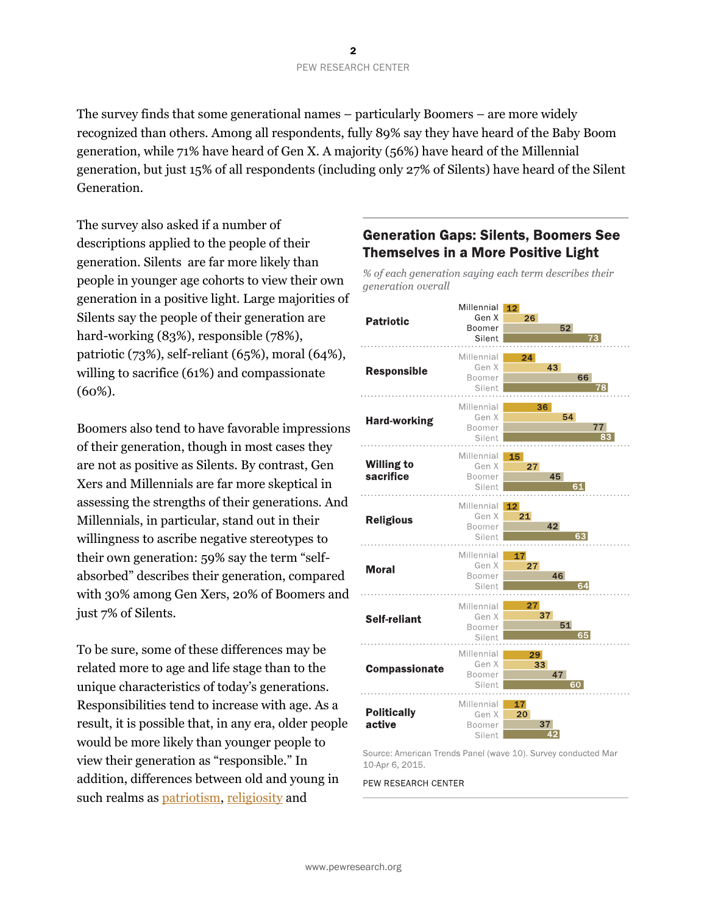The survey finds that some generational names – particularly Boomers – are more widely recognized than others. Among all respondents, fully 89% say they have heard of the Baby Boom generation, while 71% have heard of Gen X. A majority (56%) have heard of the Millennial generation, but just 15% of all respondents (including only 27% of Silents) have heard of the Silent Generation.

The survey also asked if a number of descriptions applied to the people of their generation. Silents are far more likely than people in younger age cohorts to view their own generation in a positive light. Large majorities of Silents say the people of their generation are hard-working (83%), responsible (78%), patriotic (73%), self-reliant (65%), moral (64%), willing to sacrifice (61%) and compassionate (60%).

Boomers also tend to have favorable impressions of their generation, though in most cases they are not as positive as Silents. By contrast, Gen Xers and Millennials are far more skeptical in assessing the strengths of their generations. And Millennials, in particular, stand out in their willingness to ascribe negative stereotypes to their own generation: 59% say the term "selfabsorbed" describes their generation, compared with 30% among Gen Xers, 20% of Boomers and just 7% of Silents.

To be sure, some of these differences may be related more to age and life stage than to the unique characteristics of today's generations. Responsibilities tend to increase with age. As a result, it is possible that, in any era, older people would be more likely than younger people to view their generation as "responsible." In addition, differences between old and young in such realms as [patriotism,](http://www.pewsocialtrends.org/2014/03/07/millennials-in-adulthood/) [religiosity](http://www.pewforum.org/2012/10/09/nones-on-the-rise/) and

## **Generation Gaps: Silents, Boomers See Themselves in a More Positive Light**

% of each generation saying each term describes their generation overall



Source: American Trends Panel (wave 10). Survey conducted Mar 10-Apr 6, 2015.

PEW RESEARCH CENTER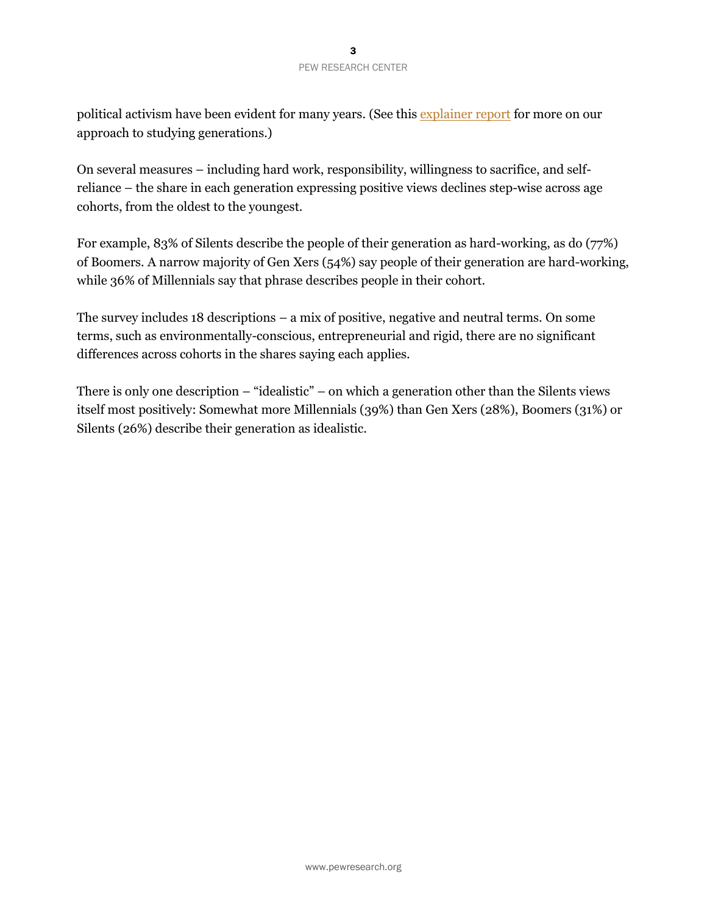political activism have been evident for many years. (See this [explainer report](http://www.people-press.org/2015/09/03/the-whys-and-hows-of-generations-research) for more on our approach to studying generations.)

On several measures – including hard work, responsibility, willingness to sacrifice, and selfreliance – the share in each generation expressing positive views declines step-wise across age cohorts, from the oldest to the youngest.

For example, 83% of Silents describe the people of their generation as hard-working, as do (77%) of Boomers. A narrow majority of Gen Xers (54%) say people of their generation are hard-working, while 36% of Millennials say that phrase describes people in their cohort.

The survey includes 18 descriptions – a mix of positive, negative and neutral terms. On some terms, such as environmentally-conscious, entrepreneurial and rigid, there are no significant differences across cohorts in the shares saying each applies.

There is only one description – "idealistic" – on which a generation other than the Silents views itself most positively: Somewhat more Millennials (39%) than Gen Xers (28%), Boomers (31%) or Silents (26%) describe their generation as idealistic.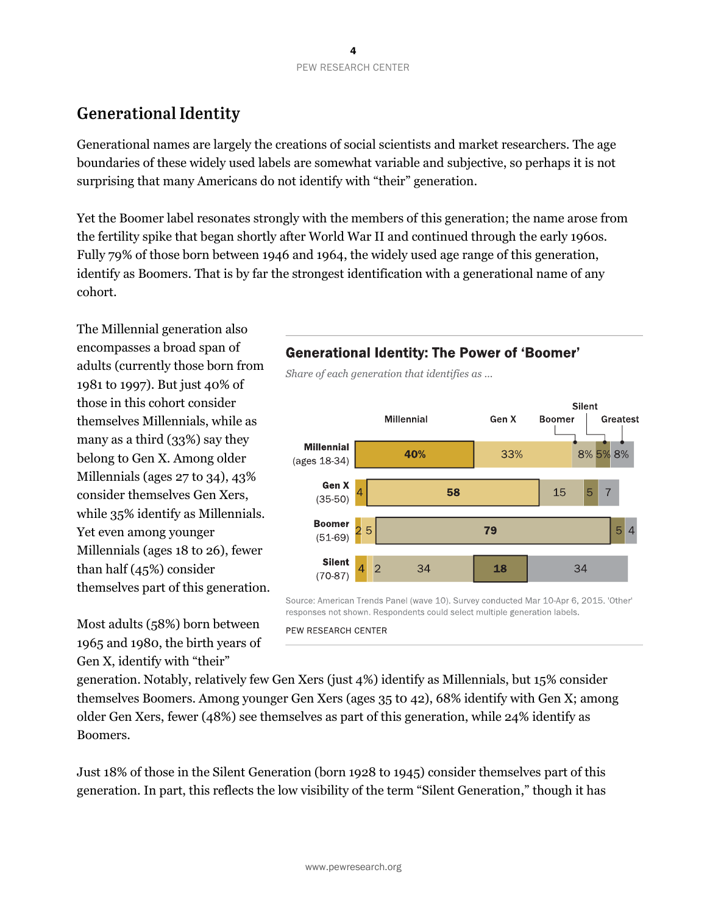## **Generational Identity**

Generational names are largely the creations of social scientists and market researchers. The age boundaries of these widely used labels are somewhat variable and subjective, so perhaps it is not surprising that many Americans do not identify with "their" generation.

Yet the Boomer label resonates strongly with the members of this generation; the name arose from the fertility spike that began shortly after World War II and continued through the early 1960s. Fully 79% of those born between 1946 and 1964, the widely used age range of this generation, identify as Boomers. That is by far the strongest identification with a generational name of any cohort.

The Millennial generation also encompasses a broad span of adults (currently those born from 1981 to 1997). But just 40% of those in this cohort consider themselves Millennials, while as many as a third (33%) say they belong to Gen X. Among older Millennials (ages 27 to 34), 43% consider themselves Gen Xers, while 35% identify as Millennials. Yet even among younger Millennials (ages 18 to 26), fewer than half (45%) consider themselves part of this generation.

Most adults (58%) born between 1965 and 1980, the birth years of Gen X, identify with "their"

## **Generational Identity: The Power of 'Boomer'**

Share of each generation that identifies as ...



Source: American Trends Panel (wave 10), Survey conducted Mar 10-Apr 6, 2015. 'Other' responses not shown. Respondents could select multiple generation labels.

PEW RESEARCH CENTER

generation. Notably, relatively few Gen Xers (just 4%) identify as Millennials, but 15% consider themselves Boomers. Among younger Gen Xers (ages 35 t0 42), 68% identify with Gen X; among older Gen Xers, fewer (48%) see themselves as part of this generation, while 24% identify as Boomers.

Just 18% of those in the Silent Generation (born 1928 to 1945) consider themselves part of this generation. In part, this reflects the low visibility of the term "Silent Generation," though it has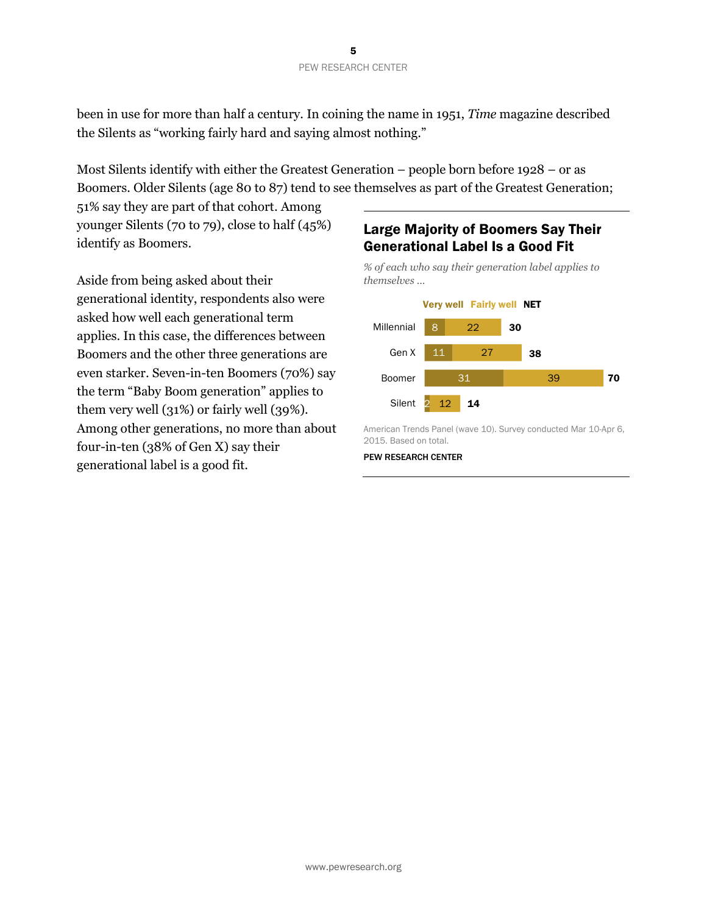been in use for more than half a century. In coining the name in 1951, *Time* magazine described the Silents as "working fairly hard and saying almost nothing."

Most Silents identify with either the Greatest Generation – people born before 1928 – or as Boomers. Older Silents (age 80 to 87) tend to see themselves as part of the Greatest Generation;

51% say they are part of that cohort. Among younger Silents (70 to 79), close to half (45%) identify as Boomers.

Aside from being asked about their generational identity, respondents also were asked how well each generational term applies. In this case, the differences between Boomers and the other three generations are even starker. Seven-in-ten Boomers (70%) say the term "Baby Boom generation" applies to them very well (31%) or fairly well (39%). Among other generations, no more than about four-in-ten (38% of Gen X) say their generational label is a good fit.

## Large Majority of Boomers Say Their Generational Label Is a Good Fit

*% of each who say their generation label applies to themselves …*



American Trends Panel (wave 10). Survey conducted Mar 10-Apr 6, 2015. Based on total.

#### PEW RESEARCH CENTER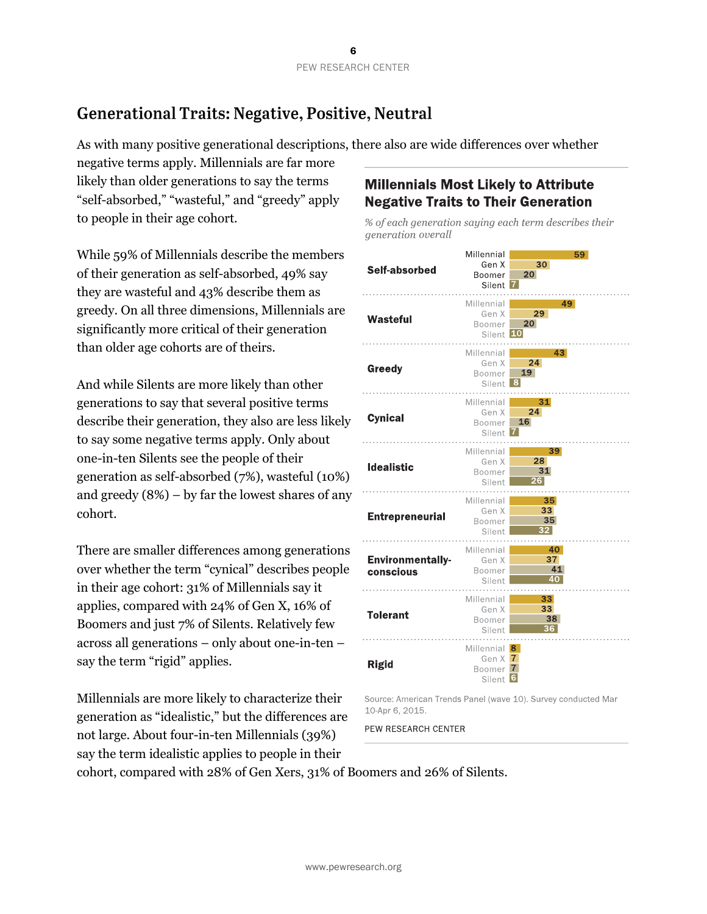## **Generational Traits: Negative, Positive, Neutral**

As with many positive generational descriptions, there also are wide differences over whether

negative terms apply. Millennials are far more likely than older generations to say the terms "self-absorbed," "wasteful," and "greedy" apply to people in their age cohort.

While 59% of Millennials describe the members of their generation as self-absorbed, 49% say they are wasteful and 43% describe them as greedy. On all three dimensions, Millennials are significantly more critical of their generation than older age cohorts are of theirs.

And while Silents are more likely than other generations to say that several positive terms describe their generation, they also are less likely to say some negative terms apply. Only about one-in-ten Silents see the people of their generation as self-absorbed (7%), wasteful (10%) and greedy (8%) – by far the lowest shares of any cohort.

There are smaller differences among generations over whether the term "cynical" describes people in their age cohort: 31% of Millennials say it applies, compared with 24% of Gen X, 16% of Boomers and just 7% of Silents. Relatively few across all generations – only about one-in-ten – say the term "rigid" applies.

Millennials are more likely to characterize their generation as "idealistic," but the differences are not large. About four-in-ten Millennials (39%) say the term idealistic applies to people in their

## **Millennials Most Likely to Attribute Negative Traits to Their Generation**

% of each generation saying each term describes their generation overall



Source: American Trends Panel (wave 10). Survey conducted Mar 10-Apr 6, 2015.

PEW RESEARCH CENTER

cohort, compared with 28% of Gen Xers, 31% of Boomers and 26% of Silents.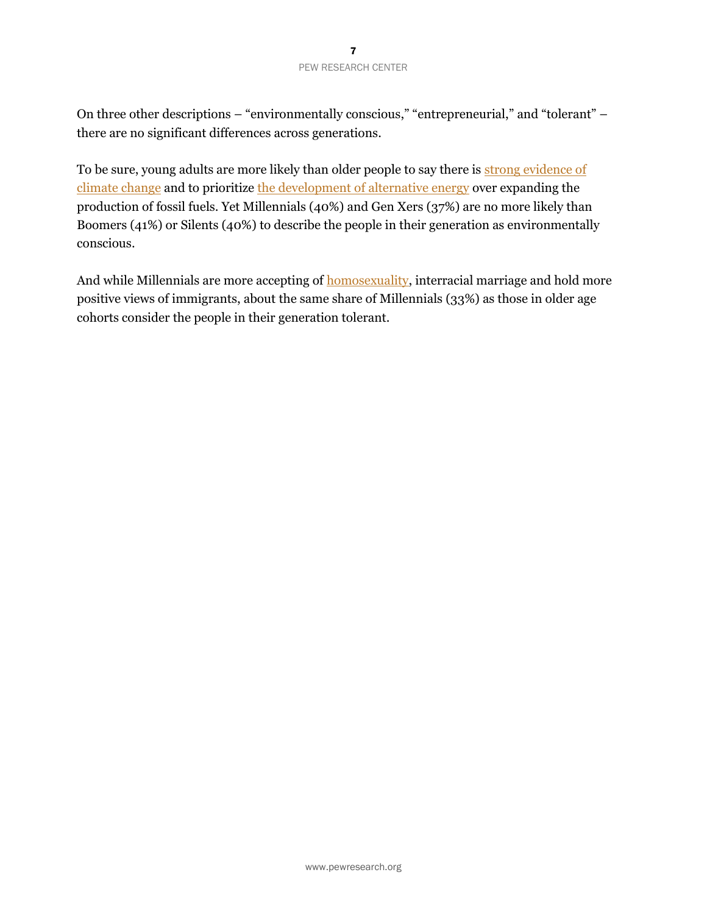On three other descriptions – "environmentally conscious," "entrepreneurial," and "tolerant" – there are no significant differences across generations.

To be sure, young adults are more likely than older people to say there is strong evidence of [climate change](http://www.pewinternet.org/2015/02/12/how-different-groups-think-about-scientific-issues/) and to prioritize [the development of alternative energy](http://www.people-press.org/2014/12/18/as-u-s-energy-production-grows-public-policy-views-show-little-change/) over expanding the production of fossil fuels. Yet Millennials (40%) and Gen Xers (37%) are no more likely than Boomers (41%) or Silents (40%) to describe the people in their generation as environmentally conscious.

And while Millennials are more accepting of [homosexuality,](http://www.people-press.org/2015/06/08/section-2-knowing-gays-and-lesbians-religious-conflicts-beliefs-about-homosexuality/) interracial marriage and hold more positive views of immigrants, about the same share of Millennials (33%) as those in older age cohorts consider the people in their generation tolerant.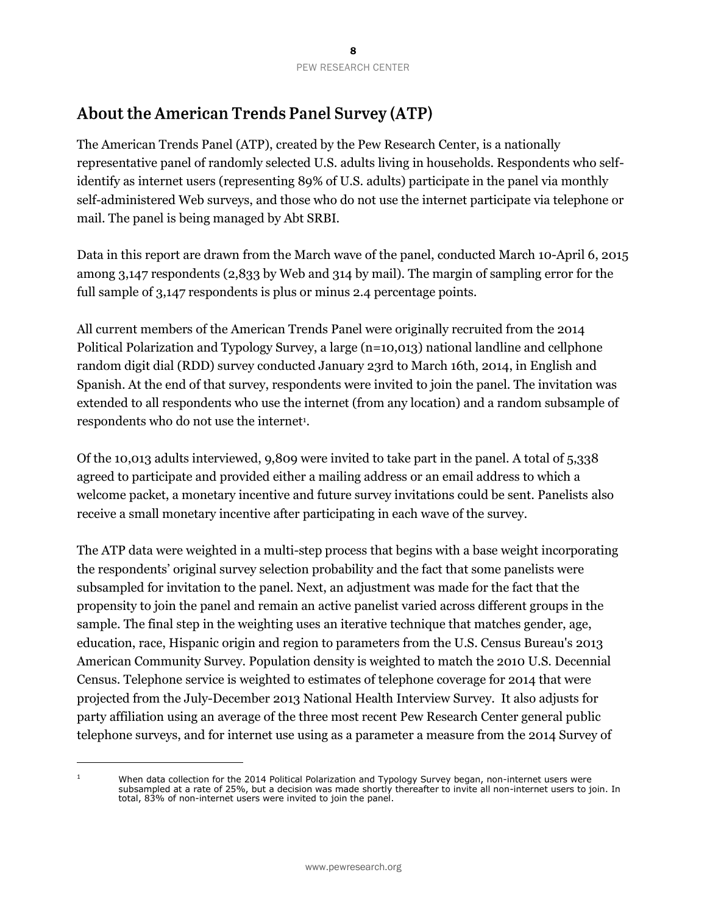## **About the American Trends Panel Survey (ATP)**

The American Trends Panel (ATP), created by the Pew Research Center, is a nationally representative panel of randomly selected U.S. adults living in households. Respondents who selfidentify as internet users (representing 89% of U.S. adults) participate in the panel via monthly self-administered Web surveys, and those who do not use the internet participate via telephone or mail. The panel is being managed by Abt SRBI.

Data in this report are drawn from the March wave of the panel, conducted March 10-April 6, 2015 among 3,147 respondents (2,833 by Web and 314 by mail). The margin of sampling error for the full sample of 3,147 respondents is plus or minus 2.4 percentage points.

All current members of the American Trends Panel were originally recruited from the 2014 Political Polarization and Typology Survey, a large (n=10,013) national landline and cellphone random digit dial (RDD) survey conducted January 23rd to March 16th, 2014, in English and Spanish. At the end of that survey, respondents were invited to join the panel. The invitation was extended to all respondents who use the internet (from any location) and a random subsample of respondents who do not use the internet<sup>1</sup>.

Of the 10,013 adults interviewed, 9,809 were invited to take part in the panel. A total of 5,338 agreed to participate and provided either a mailing address or an email address to which a welcome packet, a monetary incentive and future survey invitations could be sent. Panelists also receive a small monetary incentive after participating in each wave of the survey.

The ATP data were weighted in a multi-step process that begins with a base weight incorporating the respondents' original survey selection probability and the fact that some panelists were subsampled for invitation to the panel. Next, an adjustment was made for the fact that the propensity to join the panel and remain an active panelist varied across different groups in the sample. The final step in the weighting uses an iterative technique that matches gender, age, education, race, Hispanic origin and region to parameters from the U.S. Census Bureau's 2013 American Community Survey. Population density is weighted to match the 2010 U.S. Decennial Census. Telephone service is weighted to estimates of telephone coverage for 2014 that were projected from the July-December 2013 National Health Interview Survey. It also adjusts for party affiliation using an average of the three most recent Pew Research Center general public telephone surveys, and for internet use using as a parameter a measure from the 2014 Survey of

 $\overline{a}$ 

<sup>&</sup>lt;sup>1</sup> When data collection for the 2014 Political Polarization and Typology Survey began, non-internet users were subsampled at a rate of 25%, but a decision was made shortly thereafter to invite all non-internet users to join. In total, 83% of non-internet users were invited to join the panel.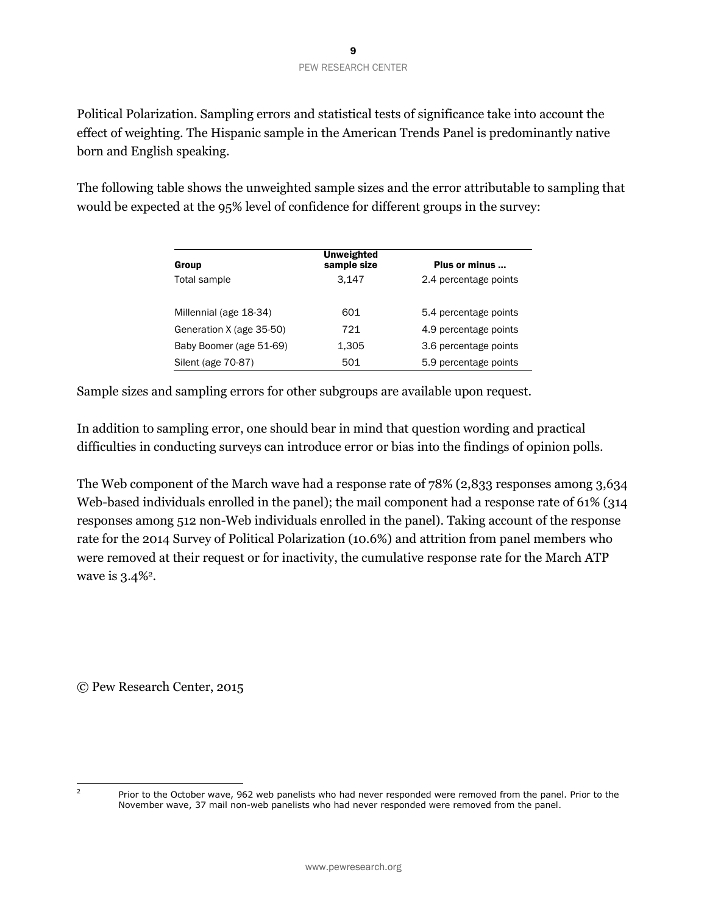Political Polarization. Sampling errors and statistical tests of significance take into account the effect of weighting. The Hispanic sample in the American Trends Panel is predominantly native born and English speaking.

The following table shows the unweighted sample sizes and the error attributable to sampling that would be expected at the 95% level of confidence for different groups in the survey:

| Group                    | <b>Unweighted</b><br>sample size | Plus or minus         |
|--------------------------|----------------------------------|-----------------------|
| Total sample             | 3.147                            | 2.4 percentage points |
| Millennial (age 18-34)   | 601                              | 5.4 percentage points |
| Generation X (age 35-50) | 721                              | 4.9 percentage points |
| Baby Boomer (age 51-69)  | 1,305                            | 3.6 percentage points |
| Silent (age 70-87)       | 501                              | 5.9 percentage points |

Sample sizes and sampling errors for other subgroups are available upon request.

In addition to sampling error, one should bear in mind that question wording and practical difficulties in conducting surveys can introduce error or bias into the findings of opinion polls.

The Web component of the March wave had a response rate of 78% (2,833 responses among 3,634 Web-based individuals enrolled in the panel); the mail component had a response rate of 61% (314 responses among 512 non-Web individuals enrolled in the panel). Taking account of the response rate for the 2014 Survey of Political Polarization (10.6%) and attrition from panel members who were removed at their request or for inactivity, the cumulative response rate for the March ATP wave is 3.4%<sup>2</sup>.

© Pew Research Center, 2015

 $\overline{2}$ 

Prior to the October wave, 962 web panelists who had never responded were removed from the panel. Prior to the November wave, 37 mail non-web panelists who had never responded were removed from the panel.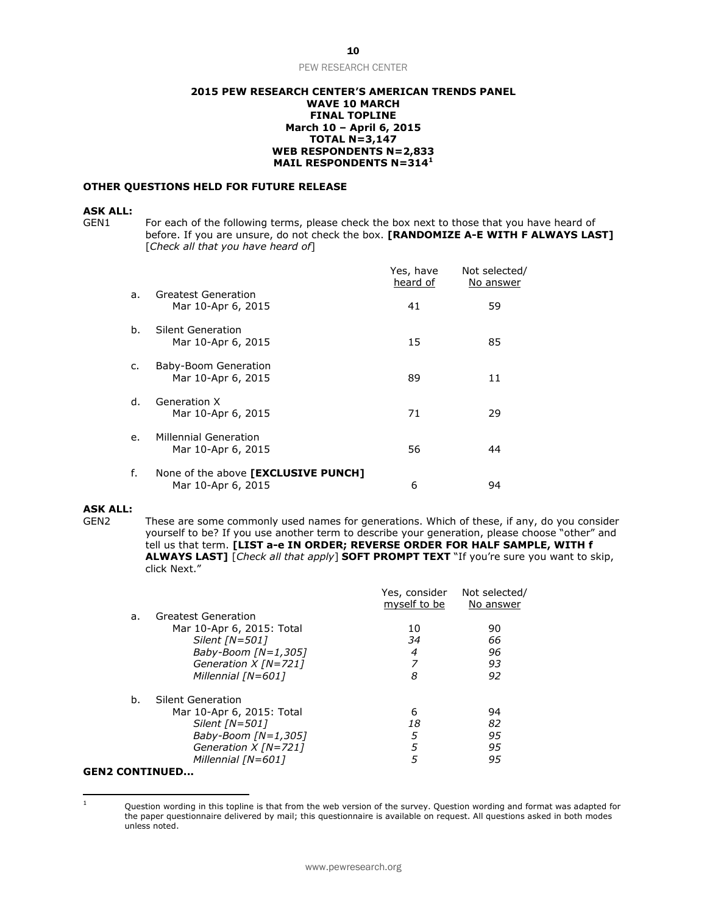#### **2015 PEW RESEARCH CENTER'S AMERICAN TRENDS PANEL WAVE 10 MARCH FINAL TOPLINE March 10 – April 6, 2015 TOTAL N=3,147 WEB RESPONDENTS N=2,833 MAIL RESPONDENTS N=314<sup>1</sup>**

#### **OTHER QUESTIONS HELD FOR FUTURE RELEASE**

#### **ASK ALL:**

GEN1 For each of the following terms, please check the box next to those that you have heard of before. If you are unsure, do not check the box. **[RANDOMIZE A-E WITH F ALWAYS LAST]** [*Check all that you have heard of*]

|    |                                                           | Yes, have<br>heard of | Not selected/<br>No answer |
|----|-----------------------------------------------------------|-----------------------|----------------------------|
| a. | Greatest Generation<br>Mar 10-Apr 6, 2015                 | 41                    | 59                         |
| b. | Silent Generation<br>Mar 10-Apr 6, 2015                   | 15                    | 85                         |
| c. | Baby-Boom Generation<br>Mar 10-Apr 6, 2015                | 89                    | 11                         |
| d. | Generation X<br>Mar 10-Apr 6, 2015                        | 71                    | 29                         |
| e. | <b>Millennial Generation</b><br>Mar 10-Apr 6, 2015        | 56                    | 44                         |
| f. | None of the above [EXCLUSIVE PUNCH]<br>Mar 10-Apr 6, 2015 | 6                     | 94                         |

#### **ASK ALL:**

 $\mathbf{1}$ 

GEN2 These are some commonly used names for generations. Which of these, if any, do you consider yourself to be? If you use another term to describe your generation, please choose "other" and tell us that term. **[LIST a-e IN ORDER; REVERSE ORDER FOR HALF SAMPLE, WITH f ALWAYS LAST]** [*Check all that apply*] **SOFT PROMPT TEXT** "If you're sure you want to skip, click Next."

|                       |                           | Yes, consider<br>myself to be | Not selected/<br>No answer |
|-----------------------|---------------------------|-------------------------------|----------------------------|
| a.                    | Greatest Generation       |                               |                            |
|                       | Mar 10-Apr 6, 2015: Total | 10                            | 90                         |
|                       | Silent [N=501]            | 34                            | 66                         |
|                       | Baby-Boom $[N=1,305]$     | 4                             | 96                         |
|                       | Generation X [N=721]      |                               | 93                         |
|                       | Millennial [N=601]        | 8                             | 92                         |
| b.                    | Silent Generation         |                               |                            |
|                       | Mar 10-Apr 6, 2015: Total | 6                             | 94                         |
|                       | Silent [N=501]            | 18                            | 82                         |
|                       | Baby-Boom $[N=1,305]$     | 5                             | 95                         |
|                       | Generation $X$ [N=721]    | 5                             | 95                         |
|                       | Millennial [N=601]        | 5                             | 95                         |
| <b>GEN2 CONTINUED</b> |                           |                               |                            |

Question wording in this topline is that from the web version of the survey. Question wording and format was adapted for the paper questionnaire delivered by mail; this questionnaire is available on request. All questions asked in both modes unless noted.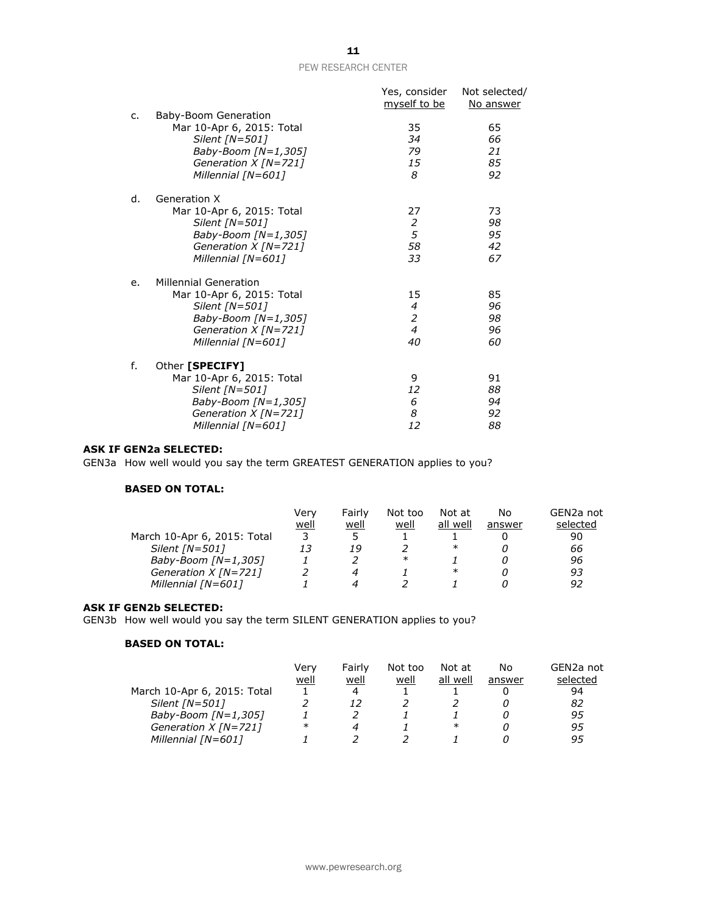|    |                                                                                                                                                    | Yes, consider<br>myself to be                                  | Not selected/<br>No answer |
|----|----------------------------------------------------------------------------------------------------------------------------------------------------|----------------------------------------------------------------|----------------------------|
| c. | Baby-Boom Generation<br>Mar 10-Apr 6, 2015: Total<br>Silent [N=501]<br>Baby-Boom [N=1,305]<br>Generation X [N=721]<br>Millennial [N=601]           | 35<br>34<br>79<br>15<br>8                                      | 65<br>66<br>21<br>85<br>92 |
| d. | Generation X<br>Mar 10-Apr 6, 2015: Total<br>Silent [N=501]<br>Baby-Boom [N=1,305]<br>Generation $X$ [N=721]<br>Millennial [N=601]                 | 27<br>2<br>5<br>58<br>33                                       | 73<br>98<br>95<br>42<br>67 |
| e. | <b>Millennial Generation</b><br>Mar 10-Apr 6, 2015: Total<br>Silent [N=501]<br>Baby-Boom [N=1,305]<br>Generation $X$ [N=721]<br>Millennial [N=601] | 15<br>$\overline{4}$<br>$\overline{a}$<br>$\overline{4}$<br>40 | 85<br>96<br>98<br>96<br>60 |
| f. | Other [SPECIFY]<br>Mar 10-Apr 6, 2015: Total<br>Silent [N=501]<br>Baby-Boom [N=1,305]<br>Generation $X$ [N=721]<br>Millennial [N=601]              | 9<br>12<br>6<br>8<br>12                                        | 91<br>88<br>94<br>92<br>88 |

#### **ASK IF GEN2a SELECTED:**

GEN3a How well would you say the term GREATEST GENERATION applies to you?

#### **BASED ON TOTAL:**

|                             | Verv | Fairly | Not too | Not at   | No     | GEN2a not |
|-----------------------------|------|--------|---------|----------|--------|-----------|
|                             | well | well   | well    | all well | answer | selected  |
| March 10-Apr 6, 2015: Total |      |        |         |          |        | 90        |
| Silent $[N=501]$            | 13   | 19     |         | $\ast$   |        | 66        |
| Baby-Boom $[N=1,305]$       |      |        | $\ast$  |          |        | 96        |
| Generation $X$ [N=721]      |      | 4      |         | $\ast$   |        | 93        |
| Millennial $[N=601]$        |      |        |         |          |        | 92        |

#### **ASK IF GEN2b SELECTED:**

GEN3b How well would you say the term SILENT GENERATION applies to you?

#### **BASED ON TOTAL:**

|                             | Verv   | Fairly | Not too | Not at   | No     | GEN2a not |
|-----------------------------|--------|--------|---------|----------|--------|-----------|
|                             | well   | well   | well    | all well | answer | selected  |
| March 10-Apr 6, 2015: Total |        | 4      |         |          |        | 94        |
| Silent [N=501]              |        | 12     |         |          |        | 82        |
| Baby-Boom $[N=1,305]$       |        |        |         |          |        | 95        |
| Generation $X$ [N=721]      | $\ast$ |        |         | ∗        |        | 95        |
| Millennial [N=601]          |        |        |         |          |        | 95        |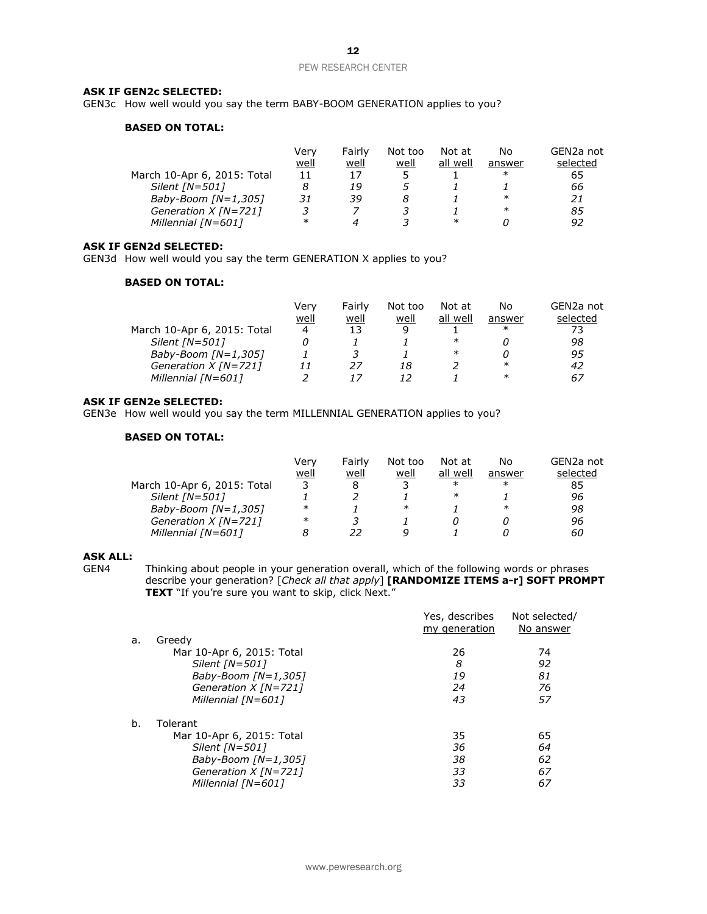#### **ASK IF GEN2c SELECTED:**

GEN3c How well would you say the term BABY-BOOM GENERATION applies to you?

#### **BASED ON TOTAL:**

|                             | Verv   | Fairly | Not too | Not at   | No     | GEN2a not |
|-----------------------------|--------|--------|---------|----------|--------|-----------|
|                             | well   | well   | well    | all well | answer | selected  |
| March 10-Apr 6, 2015: Total | 11     | 17     |         |          | ∗      | 65        |
| Silent $[N=501]$            |        | 19     |         |          |        | 66        |
| Baby-Boom $[N=1,305]$       | 31     | 39     |         |          | $\ast$ | 21        |
| Generation $X$ [N=721]      |        |        |         |          | $\ast$ | 85        |
| Millennial [N=601]          | $\ast$ |        |         | $\ast$   |        | 92        |

#### **ASK IF GEN2d SELECTED:**

GEN3d How well would you say the term GENERATION X applies to you?

#### **BASED ON TOTAL:**

|                             | Verv | Fairly | Not too | Not at   | No     | GEN2a not |
|-----------------------------|------|--------|---------|----------|--------|-----------|
|                             | well | well   | well    | all well | answer | selected  |
| March 10-Apr 6, 2015: Total | 4    | 13     | q       |          | $\ast$ | 73        |
| Silent $[N=501]$            |      |        |         | $\ast$   |        | 98        |
| Baby-Boom $[N=1,305]$       |      |        |         | $\ast$   |        | 95        |
| Generation $X$ [N=721]      |      | 27     | 18      |          | ∗      | 42        |
| Millennial [N=601]          |      |        |         |          | $\ast$ | 67        |

#### **ASK IF GEN2e SELECTED:**

GEN3e How well would you say the term MILLENNIAL GENERATION applies to you?

#### **BASED ON TOTAL:**

|                             | Very   | Fairly | Not too | Not at   | No     | GEN2a not |
|-----------------------------|--------|--------|---------|----------|--------|-----------|
|                             | well   | well   | well    | all well | answer | selected  |
| March 10-Apr 6, 2015: Total |        |        |         | $\ast$   | $\ast$ | 85        |
| Silent $[N=501]$            |        |        |         | $\ast$   |        | 96        |
| Baby-Boom $[N=1,305]$       | $\ast$ |        | $\ast$  |          | $\ast$ | 98        |
| Generation $X$ [N=721]      | $\ast$ |        |         |          |        | 96        |
| Millennial [N=601]          |        | 22     |         |          |        | 60        |

## **ASK ALL:**

Thinking about people in your generation overall, which of the following words or phrases describe your generation? [*Check all that apply*] **[RANDOMIZE ITEMS a-r] SOFT PROMPT**  TEXT "If you're sure you want to skip, click Next."

|    |                           | Yes, describes<br>my generation | Not selected/<br>No answer |
|----|---------------------------|---------------------------------|----------------------------|
| a. | Greedy                    |                                 |                            |
|    | Mar 10-Apr 6, 2015: Total | 26                              | 74                         |
|    | Silent [N=501]            | 8                               | 92                         |
|    | Baby-Boom $IN=1.3051$     | 19                              | 81                         |
|    | Generation $X$ [N=721]    | 24                              | 76                         |
|    | Millennial [N=601]        | 43                              | 57                         |
| b. | Tolerant                  |                                 |                            |
|    | Mar 10-Apr 6, 2015: Total | 35                              | 65                         |
|    | Silent $[N=501]$          | 36                              | 64                         |
|    | Baby-Boom $[N=1,305]$     | 38                              | 62                         |
|    | Generation $X$ [N=721]    | 33                              | 67                         |
|    | Millennial [N=601]        | 33                              | 67                         |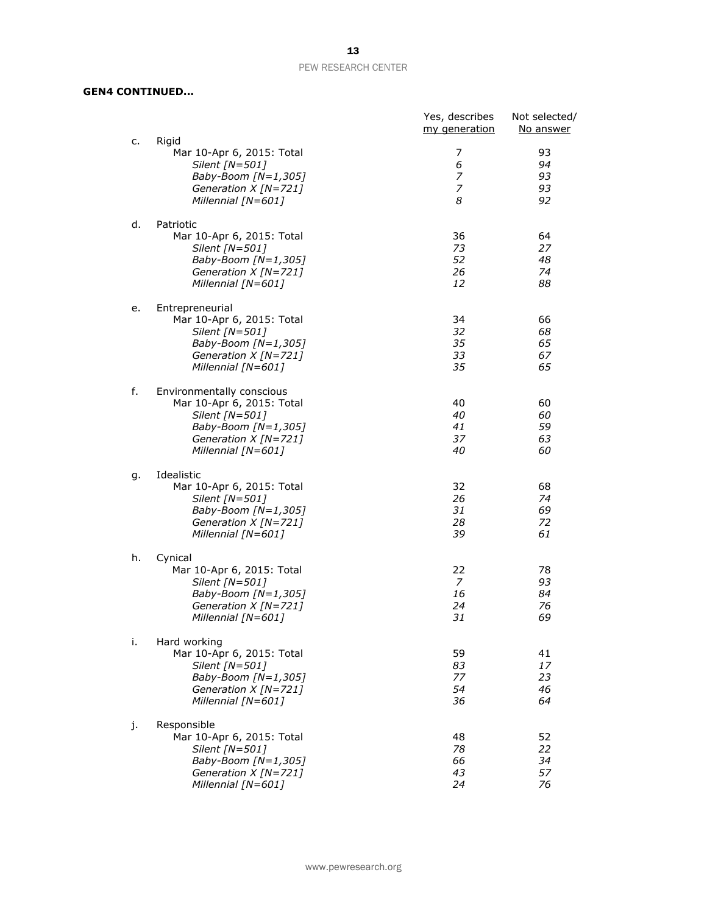#### **GEN4 CONTINUED...**

| c. | Rigid                                                                                                                                           | Yes, describes<br>my generation        | Not selected/<br>No answer |
|----|-------------------------------------------------------------------------------------------------------------------------------------------------|----------------------------------------|----------------------------|
|    | Mar 10-Apr 6, 2015: Total<br>Silent [N=501]<br>Baby-Boom [N=1,305]<br>Generation X [N=721]<br>Millennial [N=601]                                | 7<br>6<br>7<br>$\overline{z}$<br>8     | 93<br>94<br>93<br>93<br>92 |
| d. | Patriotic<br>Mar 10-Apr 6, 2015: Total<br>Silent [N=501]<br>Baby-Boom [N=1,305]<br>Generation $X$ [N=721]<br>Millennial [N=601]                 | 36<br>73<br>52<br>26<br>12             | 64<br>27<br>48<br>74<br>88 |
| е. | Entrepreneurial<br>Mar 10-Apr 6, 2015: Total<br>Silent [N=501]<br>Baby-Boom [N=1,305]<br>Generation $X$ [N=721]<br>Millennial [N=601]           | 34<br>32<br>35<br>33<br>35             | 66<br>68<br>65<br>67<br>65 |
| f. | Environmentally conscious<br>Mar 10-Apr 6, 2015: Total<br>Silent [N=501]<br>Baby-Boom [N=1,305]<br>Generation $X$ [N=721]<br>Millennial [N=601] | 40<br>40<br>41<br>37<br>40             | 60<br>60<br>59<br>63<br>60 |
| g. | Idealistic<br>Mar 10-Apr 6, 2015: Total<br>Silent [N=501]<br>Baby-Boom [N=1,305]<br>Generation $X$ [N=721]<br>Millennial [N=601]                | 32<br>26<br>31<br>28<br>39             | 68<br>74<br>69<br>72<br>61 |
| h. | Cynical<br>Mar 10-Apr 6, 2015: Total<br>Silent [N=501]<br>Baby-Boom [N=1,305]<br>Generation $X$ [N=721]<br>Millennial [N=601]                   | 22<br>$\overline{7}$<br>16<br>24<br>31 | 78<br>93<br>84<br>76<br>69 |
| i. | Hard working<br>Mar 10-Apr 6, 2015: Total<br>Silent [N=501]<br>Baby-Boom $[N=1,305]$<br>Generation $X$ [N=721]<br>Millennial [N=601]            | 59<br>83<br>77<br>54<br>36             | 41<br>17<br>23<br>46<br>64 |
| j. | Responsible<br>Mar 10-Apr 6, 2015: Total<br>Silent [N=501]<br>Baby-Boom [N=1,305]<br>Generation $X$ [N=721]<br>Millennial [N=601]               | 48<br>78<br>66<br>43<br>24             | 52<br>22<br>34<br>57<br>76 |

www.pewresearch.org